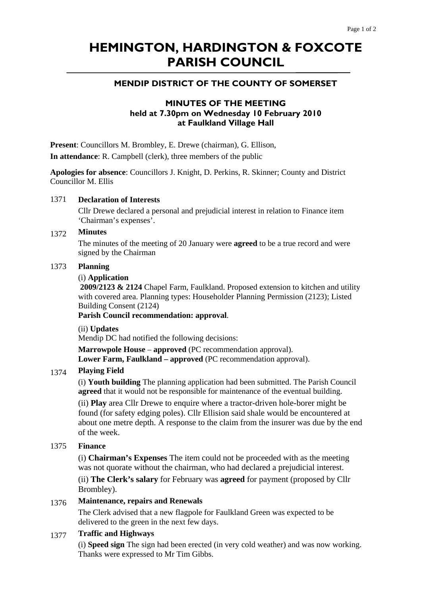# **HEMINGTON, HARDINGTON & FOXCOTE PARISH COUNCIL**

# **MENDIP DISTRICT OF THE COUNTY OF SOMERSET**

# **MINUTES OF THE MEETING held at 7.30pm on Wednesday 10 February 2010 at Faulkland Village Hall**

**Present**: Councillors M. Brombley, E. Drewe (chairman), G. Ellison,

**In attendance**: R. Campbell (clerk), three members of the public

**Apologies for absence**: Councillors J. Knight, D. Perkins, R. Skinner; County and District Councillor M. Ellis

# 1371 **Declaration of Interests**

Cllr Drewe declared a personal and prejudicial interest in relation to Finance item 'Chairman's expenses'.

#### 1372 **Minutes**

The minutes of the meeting of 20 January were **agreed** to be a true record and were signed by the Chairman

#### 1373 **Planning**

#### (i) **Application**

**2009/2123 & 2124** Chapel Farm, Faulkland. Proposed extension to kitchen and utility with covered area. Planning types: Householder Planning Permission (2123); Listed Building Consent (2124)

**Parish Council recommendation: approval**.

(ii) **Updates** 

Mendip DC had notified the following decisions:

**Marrowpole House** – **approved** (PC recommendation approval). **Lower Farm, Faulkland – approved** (PC recommendation approval).

## 1374 **Playing Field**

(i) **Youth building** The planning application had been submitted. The Parish Council **agreed** that it would not be responsible for maintenance of the eventual building.

(ii) **Play** area Cllr Drewe to enquire where a tractor-driven hole-borer might be found (for safety edging poles). Cllr Ellision said shale would be encountered at about one metre depth. A response to the claim from the insurer was due by the end of the week.

## 1375 **Finance**

(i) **Chairman's Expenses** The item could not be proceeded with as the meeting was not quorate without the chairman, who had declared a prejudicial interest.

(ii) **The Clerk's salary** for February was **agreed** for payment (proposed by Cllr Brombley).

## 1376 **Maintenance, repairs and Renewals**

The Clerk advised that a new flagpole for Faulkland Green was expected to be delivered to the green in the next few days.

# 1377 **Traffic and Highways**

(i) **Speed sign** The sign had been erected (in very cold weather) and was now working. Thanks were expressed to Mr Tim Gibbs.